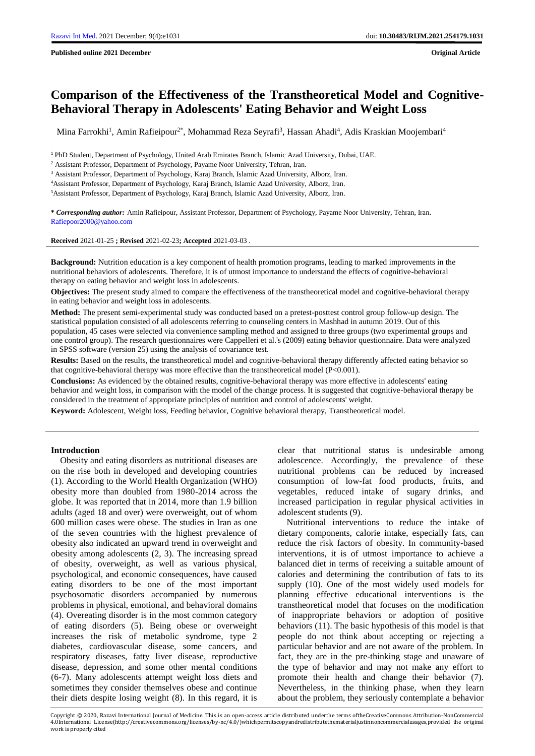**Published online 2021 December Original Article**

# **Comparison of the Effectiveness of the Transtheoretical Model and Cognitive-Behavioral Therapy in Adolescents' Eating Behavior and Weight Loss**

Mina Farrokhi<sup>1</sup>, Amin Rafieipour<sup>2\*</sup>, Mohammad Reza Seyrafi<sup>3</sup>, Hassan Ahadi<sup>4</sup>, Adis Kraskian Moojembari<sup>4</sup>

<sup>1</sup> PhD Student, Department of Psychology, United Arab Emirates Branch, Islamic Azad University, Dubai, UAE.

<sup>3</sup> Assistant Professor, Department of Psychology, Karaj Branch, Islamic Azad University, Alborz, Iran.

<sup>4</sup>Assistant Professor, Department of Psychology, Karaj Branch, Islamic Azad University, Alborz, Iran.

<sup>5</sup>Assistant Professor, Department of Psychology, Karaj Branch, Islamic Azad University, Alborz, Iran.

**\*** *Corresponding author:* Amin Rafieipour, Assistant Professor, Department of Psychology, Payame Noor University, Tehran, Iran. [Rafiepoor2000@yahoo.com](mailto:Rafiepoor2000@yahoo.com)

**Received** 2021-01-25 **; Revised** 2021-02-23**; Accepted** 2021-03-03 .

**Background:** Nutrition education is a key component of health promotion programs, leading to marked improvements in the nutritional behaviors of adolescents. Therefore, it is of utmost importance to understand the effects of cognitive-behavioral therapy on eating behavior and weight loss in adolescents.

**Objectives:** The present study aimed to compare the effectiveness of the transtheoretical model and cognitive-behavioral therapy in eating behavior and weight loss in adolescents.

**Method:** The present semi-experimental study was conducted based on a pretest-posttest control group follow-up design. The statistical population consisted of all adolescents referring to counseling centers in Mashhad in autumn 2019. Out of this population, 45 cases were selected via convenience sampling method and assigned to three groups (two experimental groups and one control group). The research questionnaires were Cappelleri et al.'s (2009) eating behavior questionnaire. Data were analyzed in SPSS software (version 25) using the analysis of covariance test.

**Results:** Based on the results, the transtheoretical model and cognitive-behavioral therapy differently affected eating behavior so that cognitive-behavioral therapy was more effective than the transtheoretical model (P<0.001).

**Conclusions:** As evidenced by the obtained results, cognitive-behavioral therapy was more effective in adolescents' eating behavior and weight loss, in comparison with the model of the change process. It is suggested that cognitive-behavioral therapy be considered in the treatment of appropriate principles of nutrition and control of adolescents' weight.

**Keyword:** Adolescent, Weight loss, Feeding behavior, Cognitive behavioral therapy, Transtheoretical model.

#### **Introduction**

 Obesity and eating disorders as nutritional diseases are on the rise both in developed and developing countries (1). According to the World Health Organization (WHO) obesity more than doubled from 1980-2014 across the globe. It was reported that in 2014, more than 1.9 billion adults (aged 18 and over) were overweight, out of whom 600 million cases were obese. The studies in Iran as one of the seven countries with the highest prevalence of obesity also indicated an upward trend in overweight and obesity among adolescents (2, 3). The increasing spread of obesity, overweight, as well as various physical, psychological, and economic consequences, have caused eating disorders to be one of the most important psychosomatic disorders accompanied by numerous problems in physical, emotional, and behavioral domains (4). Overeating disorder is in the most common category of eating disorders (5). Being obese or overweight increases the risk of metabolic syndrome, type 2 diabetes, cardiovascular disease, some cancers, and respiratory diseases, fatty liver disease, reproductive disease, depression, and some other mental conditions (6-7). Many adolescents attempt weight loss diets and sometimes they consider themselves obese and continue their diets despite losing weight (8). In this regard, it is

clear that nutritional status is undesirable among adolescence. Accordingly, the prevalence of these nutritional problems can be reduced by increased consumption of low-fat food products, fruits, and vegetables, reduced intake of sugary drinks, and increased participation in regular physical activities in adolescent students (9).

 Nutritional interventions to reduce the intake of dietary components, calorie intake, especially fats, can reduce the risk factors of obesity. In community-based interventions, it is of utmost importance to achieve a balanced diet in terms of receiving a suitable amount of calories and determining the contribution of fats to its supply (10). One of the most widely used models for planning effective educational interventions is the transtheoretical model that focuses on the modification of inappropriate behaviors or adoption of positive behaviors (11). The basic hypothesis of this model is that people do not think about accepting or rejecting a particular behavior and are not aware of the problem. In fact, they are in the pre-thinking stage and unaware of the type of behavior and may not make any effort to promote their health and change their behavior (7). Nevertheless, in the thinking phase, when they learn about the problem, they seriously contemplate a behavior

Copyright © 2020, Razavi International Journal of Medicine. This is an open-access article distributed underthe terms oftheCreativeCommons Attribution-NonCommercial 4.0International License(http://creativecommons.org/licenses/by-nc/4.0/)whichpermitscopyandredistributethematerialjustinnoncommercialusages,provided the original work is properly cited

<sup>2</sup> Assistant Professor, Department of Psychology, Payame Noor University, Tehran, Iran.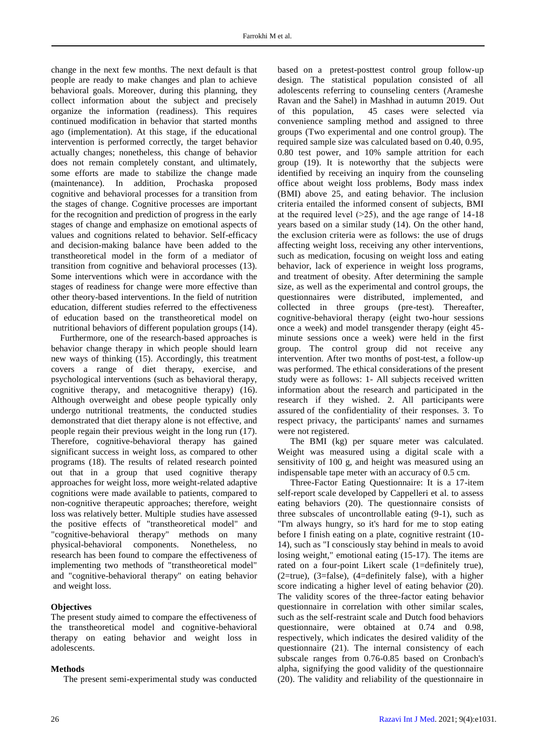change in the next few months. The next default is that people are ready to make changes and plan to achieve behavioral goals. Moreover, during this planning, they collect information about the subject and precisely organize the information (readiness). This requires continued modification in behavior that started months ago (implementation). At this stage, if the educational intervention is performed correctly, the target behavior actually changes; nonetheless, this change of behavior does not remain completely constant, and ultimately, some efforts are made to stabilize the change made (maintenance). In addition, Prochaska proposed cognitive and behavioral processes for a transition from the stages of change. Cognitive processes are important for the recognition and prediction of progress in the early stages of change and emphasize on emotional aspects of values and cognitions related to behavior. Self-efficacy and decision-making balance have been added to the transtheoretical model in the form of a mediator of transition from cognitive and behavioral processes (13). Some interventions which were in accordance with the stages of readiness for change were more effective than other theory-based interventions. In the field of nutrition education, different studies referred to the effectiveness of education based on the transtheoretical model on nutritional behaviors of different population groups (14).

 Furthermore, one of the research-based approaches is behavior change therapy in which people should learn new ways of thinking (15). Accordingly, this treatment covers a range of diet therapy, exercise, and psychological interventions (such as behavioral therapy, cognitive therapy, and metacognitive therapy) (16). Although overweight and obese people typically only undergo nutritional treatments, the conducted studies demonstrated that diet therapy alone is not effective, and people regain their previous weight in the long run (17). Therefore, cognitive-behavioral therapy has gained significant success in weight loss, as compared to other programs (18). The results of related research pointed out that in a group that used cognitive therapy approaches for weight loss, more weight-related adaptive cognitions were made available to patients, compared to non-cognitive therapeutic approaches; therefore, weight loss was relatively better. Multiple studies have assessed the positive effects of "transtheoretical model" and "cognitive-behavioral therapy" methods on many physical-behavioral components. Nonetheless, no research has been found to compare the effectiveness of implementing two methods of "transtheoretical model" and "cognitive-behavioral therapy" on eating behavior and weight loss.

# **Objectives**

The present study aimed to compare the effectiveness of the transtheoretical model and cognitive-behavioral therapy on eating behavior and weight loss in adolescents.

# **Methods**

The present semi-experimental study was conducted

based on a pretest-posttest control group follow-up design. The statistical population consisted of all adolescents referring to counseling centers (Arameshe Ravan and the Sahel) in Mashhad in autumn 2019. Out of this population, 45 cases were selected via convenience sampling method and assigned to three groups (Two experimental and one control group). The required sample size was calculated based on 0.40, 0.95, 0.80 test power, and 10% sample attrition for each group (19). It is noteworthy that the subjects were identified by receiving an inquiry from the counseling office about weight loss problems, Body mass index (BMI) above 25, and eating behavior. The inclusion criteria entailed the informed consent of subjects, BMI at the required level  $(>=25)$ , and the age range of 14-18 years based on a similar study (14). On the other hand, the exclusion criteria were as follows: the use of drugs affecting weight loss, receiving any other interventions, such as medication, focusing on weight loss and eating behavior, lack of experience in weight loss programs, and treatment of obesity. After determining the sample size, as well as the experimental and control groups, the questionnaires were distributed, implemented, and collected in three groups (pre-test). Thereafter, cognitive-behavioral therapy (eight two-hour sessions once a week) and model transgender therapy (eight 45 minute sessions once a week) were held in the first group. The control group did not receive any intervention. After two months of post-test, a follow-up was performed. The ethical considerations of the present study were as follows: 1- All subjects received written information about the research and participated in the research if they wished. 2. All participants were assured of the confidentiality of their responses. 3. To respect privacy, the participants' names and surnames were not registered.

The BMI (kg) per square meter was calculated. Weight was measured using a digital scale with a sensitivity of 100 g, and height was measured using an indispensable tape meter with an accuracy of 0.5 cm.

Three-Factor Eating Questionnaire: It is a 17-item self-report scale developed by Cappelleri et al. to assess eating behaviors (20). The questionnaire consists of three subscales of uncontrollable eating (9-1), such as "I'm always hungry, so it's hard for me to stop eating before I finish eating on a plate, cognitive restraint (10- 14), such as "I consciously stay behind in meals to avoid losing weight," emotional eating (15-17). The items are rated on a four-point Likert scale (1=definitely true), (2=true), (3=false), (4=definitely false), with a higher score indicating a higher level of eating behavior (20). The validity scores of the three-factor eating behavior questionnaire in correlation with other similar scales, such as the self-restraint scale and Dutch food behaviors questionnaire, were obtained at 0.74 and 0.98, respectively, which indicates the desired validity of the questionnaire (21). The internal consistency of each subscale ranges from 0.76-0.85 based on Cronbach's alpha, signifying the good validity of the questionnaire (20). The validity and reliability of the questionnaire in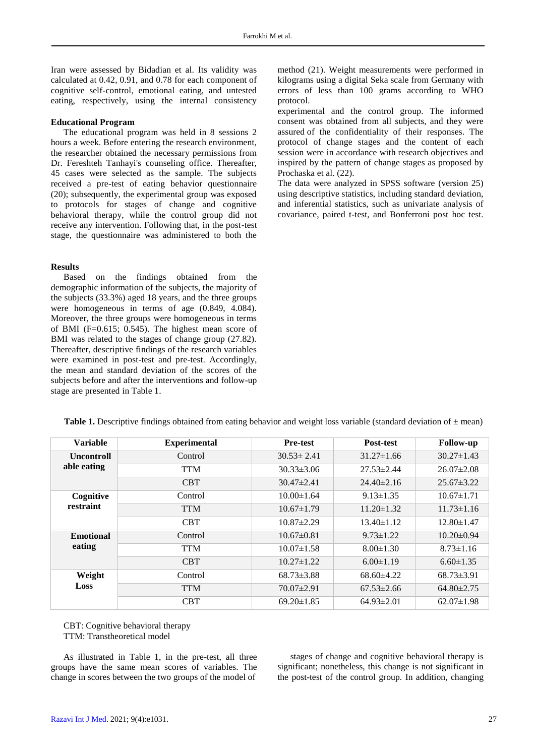Iran were assessed by Bidadian et al. Its validity was calculated at 0.42, 0.91, and 0.78 for each component of cognitive self-control, emotional eating, and untested eating, respectively, using the internal consistency

## **Educational Program**

The educational program was held in 8 sessions 2 hours a week. Before entering the research environment, the researcher obtained the necessary permissions from Dr. Fereshteh Tanhayi's counseling office. Thereafter, 45 cases were selected as the sample. The subjects received a pre-test of eating behavior questionnaire (20); subsequently, the experimental group was exposed to protocols for stages of change and cognitive behavioral therapy, while the control group did not receive any intervention. Following that, in the post-test stage, the questionnaire was administered to both the

#### **Results**

Based on the findings obtained from the demographic information of the subjects, the majority of the subjects (33.3%) aged 18 years, and the three groups were homogeneous in terms of age (0.849, 4.084). Moreover, the three groups were homogeneous in terms of BMI (F=0.615; 0.545). The highest mean score of BMI was related to the stages of change group (27.82). Thereafter, descriptive findings of the research variables were examined in post-test and pre-test. Accordingly, the mean and standard deviation of the scores of the subjects before and after the interventions and follow-up stage are presented in Table 1.

method (21). Weight measurements were performed in kilograms using a digital Seka scale from Germany with errors of less than 100 grams according to WHO protocol.

experimental and the control group. The informed consent was obtained from all subjects, and they were assured of the confidentiality of their responses. The protocol of change stages and the content of each session were in accordance with research objectives and inspired by the pattern of change stages as proposed by Prochaska et al. (22).

The data were analyzed in SPSS software (version 25) using descriptive statistics, including standard deviation, and inferential statistics, such as univariate analysis of covariance, paired t-test, and Bonferroni post hoc test.

| <b>Variable</b>   | <b>Experimental</b> | <b>Pre-test</b>  | <b>Post-test</b> | <b>Follow-up</b> |
|-------------------|---------------------|------------------|------------------|------------------|
| <b>Uncontroll</b> | Control             | $30.53 \pm 2.41$ | $31.27 \pm 1.66$ | $30.27 \pm 1.43$ |
| able eating       | <b>TTM</b>          | $30.33 \pm 3.06$ | $27.53 \pm 2.44$ | $26.07 \pm 2.08$ |
|                   | <b>CBT</b>          | $30.47 \pm 2.41$ | $24.40\pm2.16$   | $25.67 \pm 3.22$ |
| Cognitive         | Control             | $10.00 \pm 1.64$ | $9.13 \pm 1.35$  | $10.67 \pm 1.71$ |
| restraint         | <b>TTM</b>          | $10.67 \pm 1.79$ | $11.20 \pm 1.32$ | $11.73 \pm 1.16$ |
|                   | <b>CBT</b>          | $10.87 \pm 2.29$ | $13.40 \pm 1.12$ | 12.80±1.47       |
| <b>Emotional</b>  | Control             | $10.67 \pm 0.81$ | $9.73 \pm 1.22$  | $10.20 \pm 0.94$ |
| eating            | <b>TTM</b>          | $10.07 \pm 1.58$ | $8.00 \pm 1.30$  | $8.73 \pm 1.16$  |
|                   | <b>CBT</b>          | $10.27 \pm 1.22$ | $6.00 \pm 1.19$  | $6.60 \pm 1.35$  |
| Weight            | Control             | $68.73 \pm 3.88$ | $68.60\pm4.22$   | $68.73 \pm 3.91$ |
| Loss              | <b>TTM</b>          | $70.07 \pm 2.91$ | $67.53 \pm 2.66$ | $64.80 \pm 2.75$ |
|                   | <b>CBT</b>          | $69.20 \pm 1.85$ | $64.93 \pm 2.01$ | $62.07 \pm 1.98$ |

**Table 1.** Descriptive findings obtained from eating behavior and weight loss variable (standard deviation of ± mean)

CBT: Cognitive behavioral therapy TTM: Transtheoretical model

As illustrated in Table 1, in the pre-test, all three groups have the same mean scores of variables. The change in scores between the two groups of the model of

stages of change and cognitive behavioral therapy is significant; nonetheless, this change is not significant in the post-test of the control group. In addition, changing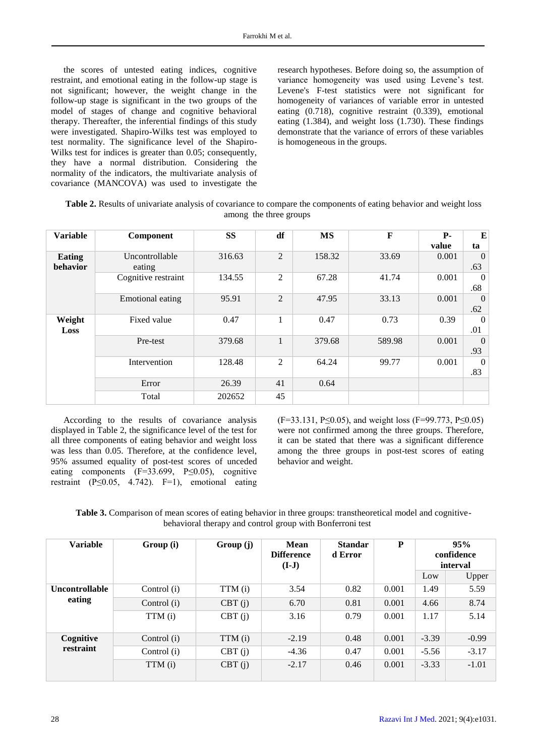the scores of untested eating indices, cognitive restraint, and emotional eating in the follow-up stage is not significant; however, the weight change in the follow-up stage is significant in the two groups of the model of stages of change and cognitive behavioral therapy. Thereafter, the inferential findings of this study were investigated. Shapiro-Wilks test was employed to test normality. The significance level of the Shapiro-Wilks test for indices is greater than 0.05; consequently, they have a normal distribution. Considering the normality of the indicators, the multivariate analysis of covariance (MANCOVA) was used to investigate the

research hypotheses. Before doing so, the assumption of variance homogeneity was used using Levene's test. Levene's F-test statistics were not significant for homogeneity of variances of variable error in untested eating (0.718), cognitive restraint (0.339), emotional eating (1.384), and weight loss (1.730). These findings demonstrate that the variance of errors of these variables is homogeneous in the groups.

| Table 2. Results of univariate analysis of covariance to compare the components of eating behavior and weight loss |
|--------------------------------------------------------------------------------------------------------------------|
| among the three groups                                                                                             |

| <b>Variable</b>    | Component                | <b>SS</b> | df             | <b>MS</b> | $\mathbf F$ | <b>P</b> - | E                     |
|--------------------|--------------------------|-----------|----------------|-----------|-------------|------------|-----------------------|
|                    |                          |           |                |           |             | value      | ta                    |
| Eating<br>behavior | Uncontrollable<br>eating | 316.63    | 2              | 158.32    | 33.69       | 0.001      | $\Omega$<br>.63       |
|                    | Cognitive restraint      | 134.55    | $\overline{2}$ | 67.28     | 41.74       | 0.001      | $\overline{0}$<br>.68 |
|                    | <b>Emotional eating</b>  | 95.91     | $\overline{2}$ | 47.95     | 33.13       | 0.001      | $\overline{0}$<br>.62 |
| Weight<br>Loss     | Fixed value              | 0.47      | 1              | 0.47      | 0.73        | 0.39       | $\overline{0}$<br>.01 |
|                    | Pre-test                 | 379.68    | $\mathbf{1}$   | 379.68    | 589.98      | 0.001      | $\overline{0}$<br>.93 |
|                    | Intervention             | 128.48    | 2              | 64.24     | 99.77       | 0.001      | $\Omega$<br>.83       |
|                    | Error                    | 26.39     | 41             | 0.64      |             |            |                       |
|                    | Total                    | 202652    | 45             |           |             |            |                       |

According to the results of covariance analysis displayed in Table 2, the significance level of the test for all three components of eating behavior and weight loss was less than 0.05. Therefore, at the confidence level, 95% assumed equality of post-test scores of unceded eating components  $(F=33.699, P\leq 0.05)$ , cognitive restraint (P $\leq$ 0.05, 4.742). F=1), emotional eating (F=33.131, P≤0.05), and weight loss (F=99.773, P≤0.05) were not confirmed among the three groups. Therefore, it can be stated that there was a significant difference among the three groups in post-test scores of eating behavior and weight.

| <b>Table 3.</b> Comparison of mean scores of eating behavior in three groups: transtheoretical model and cognitive- |  |                                                           |  |  |  |  |
|---------------------------------------------------------------------------------------------------------------------|--|-----------------------------------------------------------|--|--|--|--|
|                                                                                                                     |  | behavioral therapy and control group with Bonferroni test |  |  |  |  |

| <b>Variable</b>                 | Group (i)   | Group (j) | Mean<br><b>Difference</b><br>$(I-J)$ | <b>Standar</b><br>d Error | P     |         | 95%<br>confidence<br>interval |
|---------------------------------|-------------|-----------|--------------------------------------|---------------------------|-------|---------|-------------------------------|
|                                 |             |           |                                      |                           |       | Low     | Upper                         |
| <b>Uncontrollable</b><br>eating | Control (i) | TTM (i)   | 3.54                                 | 0.82                      | 0.001 | 1.49    | 5.59                          |
|                                 | Control (i) | CBT(j)    | 6.70                                 | 0.81                      | 0.001 | 4.66    | 8.74                          |
|                                 | TTM (i)     | CBT(i)    | 3.16                                 | 0.79                      | 0.001 | 1.17    | 5.14                          |
| Cognitive<br>restraint          | Control (i) | TTM (i)   | $-2.19$                              | 0.48                      | 0.001 | $-3.39$ | $-0.99$                       |
|                                 | Control (i) | CBT(j)    | $-4.36$                              | 0.47                      | 0.001 | $-5.56$ | $-3.17$                       |
|                                 | TTM (i)     | CBT(i)    | $-2.17$                              | 0.46                      | 0.001 | $-3.33$ | $-1.01$                       |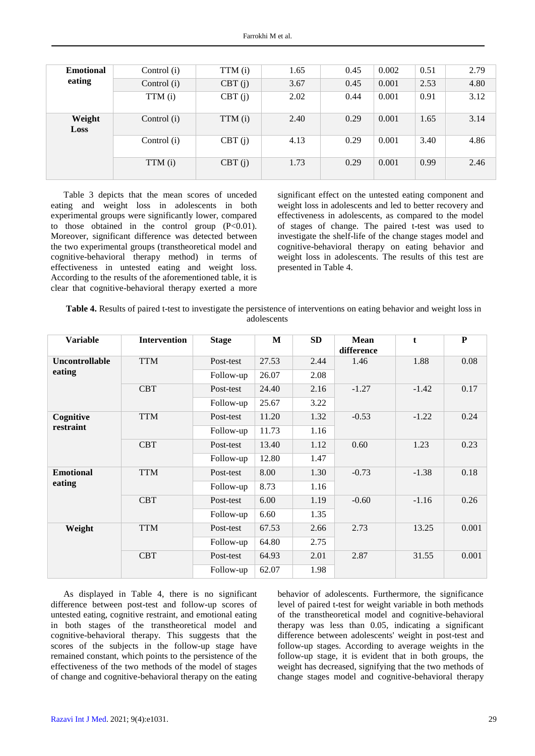| <b>Emotional</b><br>eating | Control (i) | TTM (i) | 1.65 | 0.45 | 0.002 | 0.51 | 2.79 |
|----------------------------|-------------|---------|------|------|-------|------|------|
|                            | Control (i) | CBT(j)  | 3.67 | 0.45 | 0.001 | 2.53 | 4.80 |
|                            | TTM (i)     | CBT(j)  | 2.02 | 0.44 | 0.001 | 0.91 | 3.12 |
| Weight<br><b>Loss</b>      | Control (i) | TTM (i) | 2.40 | 0.29 | 0.001 | 1.65 | 3.14 |
|                            | Control (i) | CBT(j)  | 4.13 | 0.29 | 0.001 | 3.40 | 4.86 |
|                            | TTM (i)     | CBT(j)  | 1.73 | 0.29 | 0.001 | 0.99 | 2.46 |

Table 3 depicts that the mean scores of unceded eating and weight loss in adolescents in both experimental groups were significantly lower, compared to those obtained in the control group  $(P<0.01)$ . Moreover, significant difference was detected between the two experimental groups (transtheoretical model and cognitive-behavioral therapy method) in terms of effectiveness in untested eating and weight loss. According to the results of the aforementioned table, it is clear that cognitive-behavioral therapy exerted a more

significant effect on the untested eating component and weight loss in adolescents and led to better recovery and effectiveness in adolescents, as compared to the model of stages of change. The paired t-test was used to investigate the shelf-life of the change stages model and cognitive-behavioral therapy on eating behavior and weight loss in adolescents. The results of this test are presented in Table 4.

| Table 4. Results of paired t-test to investigate the persistence of interventions on eating behavior and weight loss in |
|-------------------------------------------------------------------------------------------------------------------------|
| adolescents                                                                                                             |

| <b>Variable</b>       | <b>Intervention</b> | <b>Stage</b> | M     | <b>SD</b> | <b>Mean</b><br>difference | t       | ${\bf P}$ |
|-----------------------|---------------------|--------------|-------|-----------|---------------------------|---------|-----------|
| <b>Uncontrollable</b> | <b>TTM</b>          | Post-test    | 27.53 | 2.44      | 1.46                      | 1.88    | 0.08      |
| eating                |                     | Follow-up    | 26.07 | 2.08      |                           |         |           |
|                       | <b>CBT</b>          | Post-test    | 24.40 | 2.16      | $-1.27$                   | $-1.42$ | 0.17      |
|                       |                     | Follow-up    | 25.67 | 3.22      |                           |         |           |
| Cognitive             | <b>TTM</b>          | Post-test    | 11.20 | 1.32      | $-0.53$                   | $-1.22$ | 0.24      |
| restraint             |                     | Follow-up    | 11.73 | 1.16      |                           |         |           |
|                       | <b>CBT</b>          | Post-test    | 13.40 | 1.12      | 0.60                      | 1.23    | 0.23      |
|                       |                     | Follow-up    | 12.80 | 1.47      |                           |         |           |
| <b>Emotional</b>      | <b>TTM</b>          | Post-test    | 8.00  | 1.30      | $-0.73$                   | $-1.38$ | 0.18      |
| eating                |                     | Follow-up    | 8.73  | 1.16      |                           |         |           |
|                       | <b>CBT</b>          | Post-test    | 6.00  | 1.19      | $-0.60$                   | $-1.16$ | 0.26      |
|                       |                     | Follow-up    | 6.60  | 1.35      |                           |         |           |
| Weight                | <b>TTM</b>          | Post-test    | 67.53 | 2.66      | 2.73                      | 13.25   | 0.001     |
|                       |                     | Follow-up    | 64.80 | 2.75      |                           |         |           |
|                       | <b>CBT</b>          | Post-test    | 64.93 | 2.01      | 2.87                      | 31.55   | 0.001     |
|                       |                     | Follow-up    | 62.07 | 1.98      |                           |         |           |

As displayed in Table 4, there is no significant difference between post-test and follow-up scores of untested eating, cognitive restraint, and emotional eating in both stages of the transtheoretical model and cognitive-behavioral therapy. This suggests that the scores of the subjects in the follow-up stage have remained constant, which points to the persistence of the effectiveness of the two methods of the model of stages of change and cognitive-behavioral therapy on the eating

behavior of adolescents. Furthermore, the significance level of paired t-test for weight variable in both methods of the transtheoretical model and cognitive-behavioral therapy was less than 0.05, indicating a significant difference between adolescents' weight in post-test and follow-up stages. According to average weights in the follow-up stage, it is evident that in both groups, the weight has decreased, signifying that the two methods of change stages model and cognitive-behavioral therapy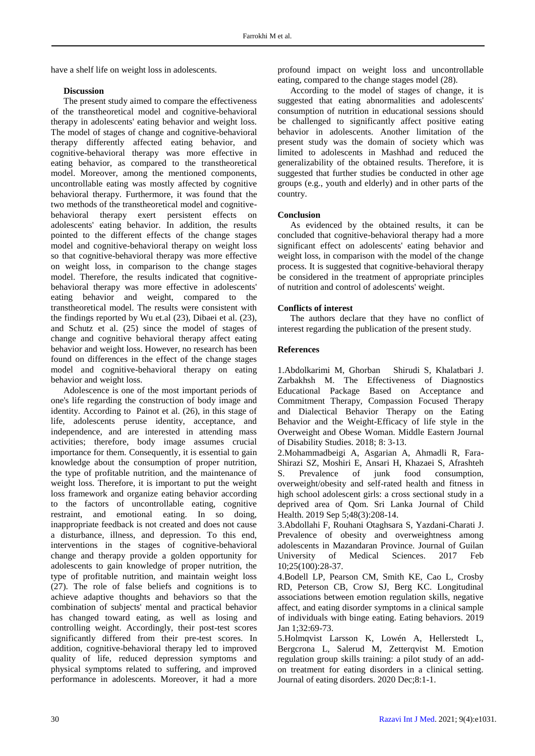have a shelf life on weight loss in adolescents.

## **Discussion**

The present study aimed to compare the effectiveness of the transtheoretical model and cognitive-behavioral therapy in adolescents' eating behavior and weight loss. The model of stages of change and cognitive-behavioral therapy differently affected eating behavior, and cognitive-behavioral therapy was more effective in eating behavior, as compared to the transtheoretical model. Moreover, among the mentioned components, uncontrollable eating was mostly affected by cognitive behavioral therapy. Furthermore, it was found that the two methods of the transtheoretical model and cognitivebehavioral therapy exert persistent effects on adolescents' eating behavior. In addition, the results pointed to the different effects of the change stages model and cognitive-behavioral therapy on weight loss so that cognitive-behavioral therapy was more effective on weight loss, in comparison to the change stages model. Therefore, the results indicated that cognitivebehavioral therapy was more effective in adolescents' eating behavior and weight, compared to the transtheoretical model. The results were consistent with the findings reported by Wu et.al (23), Dibaei et al. (23), and Schutz et al. (25) since the model of stages of change and cognitive behavioral therapy affect eating behavior and weight loss. However, no research has been found on differences in the effect of the change stages model and cognitive-behavioral therapy on eating behavior and weight loss.

Adolescence is one of the most important periods of one's life regarding the construction of body image and identity. According to Painot et al. (26), in this stage of life, adolescents peruse identity, acceptance, and independence, and are interested in attending mass activities; therefore, body image assumes crucial importance for them. Consequently, it is essential to gain knowledge about the consumption of proper nutrition, the type of profitable nutrition, and the maintenance of weight loss. Therefore, it is important to put the weight loss framework and organize eating behavior according to the factors of uncontrollable eating, cognitive restraint, and emotional eating. In so doing, inappropriate feedback is not created and does not cause a disturbance, illness, and depression. To this end, interventions in the stages of cognitive-behavioral change and therapy provide a golden opportunity for adolescents to gain knowledge of proper nutrition, the type of profitable nutrition, and maintain weight loss (27). The role of false beliefs and cognitions is to achieve adaptive thoughts and behaviors so that the combination of subjects' mental and practical behavior has changed toward eating, as well as losing and controlling weight. Accordingly, their post-test scores significantly differed from their pre-test scores. In addition, cognitive-behavioral therapy led to improved quality of life, reduced depression symptoms and physical symptoms related to suffering, and improved performance in adolescents. Moreover, it had a more

profound impact on weight loss and uncontrollable eating, compared to the change stages model (28).

According to the model of stages of change, it is suggested that eating abnormalities and adolescents' consumption of nutrition in educational sessions should be challenged to significantly affect positive eating behavior in adolescents. Another limitation of the present study was the domain of society which was limited to adolescents in Mashhad and reduced the generalizability of the obtained results. Therefore, it is suggested that further studies be conducted in other age groups (e.g., youth and elderly) and in other parts of the country.

## **Conclusion**

As evidenced by the obtained results, it can be concluded that cognitive-behavioral therapy had a more significant effect on adolescents' eating behavior and weight loss, in comparison with the model of the change process. It is suggested that cognitive-behavioral therapy be considered in the treatment of appropriate principles of nutrition and control of adolescents' weight.

## **Conflicts of interest**

The authors declare that they have no conflict of interest regarding the publication of the present study.

## **References**

1.Abdolkarimi M, Ghorban Shirudi S, Khalatbari J. Zarbakhsh M. The Effectiveness of Diagnostics Educational Package Based on Acceptance and Commitment Therapy, Compassion Focused Therapy and Dialectical Behavior Therapy on the Eating Behavior and the Weight-Efficacy of life style in the Overweight and Obese Woman. Middle Eastern Journal of Disability Studies. 2018; 8: 3-13.

2.Mohammadbeigi A, Asgarian A, Ahmadli R, Fara-Shirazi SZ, Moshiri E, Ansari H, Khazaei S, Afrashteh S. Prevalence of junk food consumption, overweight/obesity and self-rated health and fitness in high school adolescent girls: a cross sectional study in a deprived area of Qom. Sri Lanka Journal of Child Health. 2019 Sep 5;48(3):208-14.

3.Abdollahi F, Rouhani Otaghsara S, Yazdani-Charati J. Prevalence of obesity and overweightness among adolescents in Mazandaran Province. Journal of Guilan University of Medical Sciences. 2017 Feb 10;25(100):28-37.

4.Bodell LP, Pearson CM, Smith KE, Cao L, Crosby RD, Peterson CB, Crow SJ, Berg KC. Longitudinal associations between emotion regulation skills, negative affect, and eating disorder symptoms in a clinical sample of individuals with binge eating. Eating behaviors. 2019 Jan 1;32:69-73.

5.Holmqvist Larsson K, Lowén A, Hellerstedt L, Bergcrona L, Salerud M, Zetterqvist M. Emotion regulation group skills training: a pilot study of an addon treatment for eating disorders in a clinical setting. Journal of eating disorders. 2020 Dec;8:1-1.